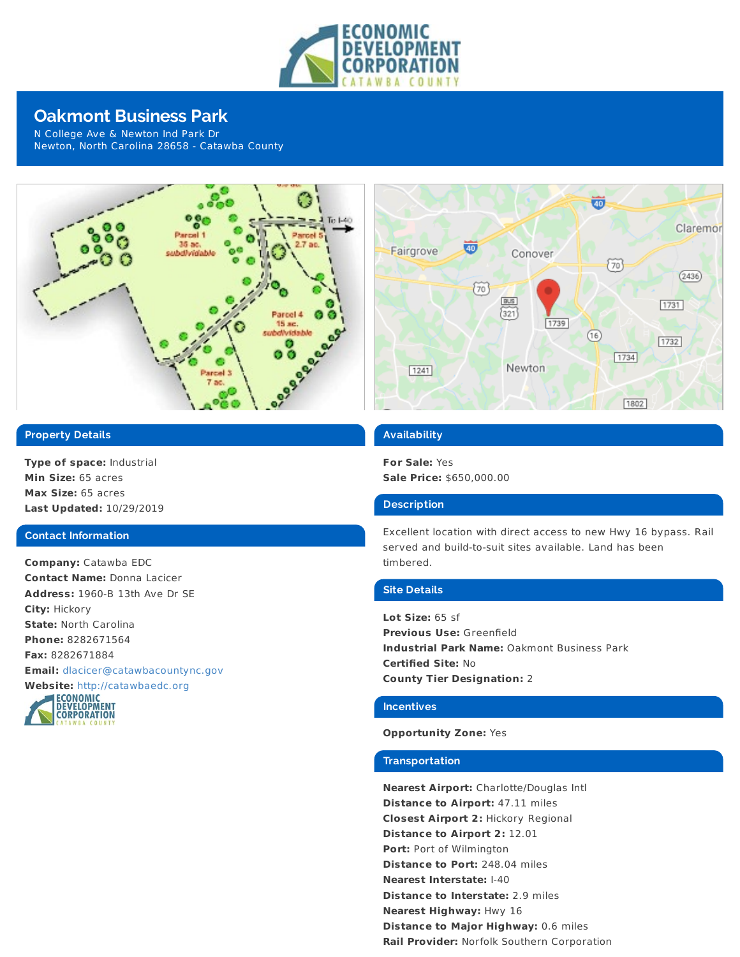

# **Oakmont Business Park**

N College Ave & Newton Ind Park Dr Newton, North Carolina 28658 - Catawba County



# **Property Details**

**Type of space:** Industrial **Min Size:** 65 acres **Max Size:** 65 acres **Last Updated:** 10/29/2019

#### **Contact Information**

**Company:** Catawba EDC **Contact Name:** Donna Lacicer **Address:** 1960-B 13th Ave Dr SE **City:** Hickory **State:** North Carolina **Phone:** 8282671564 **Fax:** 8282671884 **Email:** [dlacicer@catawbacountync.gov](mailto:dlacicer@catawbacountync.gov)





### **Availability**

**For Sale:** Yes **Sale Price:** \$650,000.00

### **Description**

Excellent location with direct access to new Hwy 16 bypass. Rail served and build-to-suit sites available. Land has been timbered.

#### **Site Details**

**Lot Size:** 65 sf **Previous Use:** Greenfield **Industrial Park Name:** Oakmont Business Park **Certified Site:** No **County Tier Designation:** 2

#### **Incentives**

#### **Opportunity Zone:** Yes

#### **Transportation**

**Nearest Airport:** Charlotte/Douglas Intl **Distance to Airport:** 47.11 miles **Closest Airport 2:** Hickory Regional **Distance to Airport 2:** 12.01 **Port:** Port of Wilmington **Distance to Port:** 248.04 miles **Nearest Interstate:** I-40 **Distance to Interstate:** 2.9 miles **Nearest Highway:** Hwy 16 **Distance to Major Highway:** 0.6 miles **Rail Provider:** Norfolk Southern Corporation